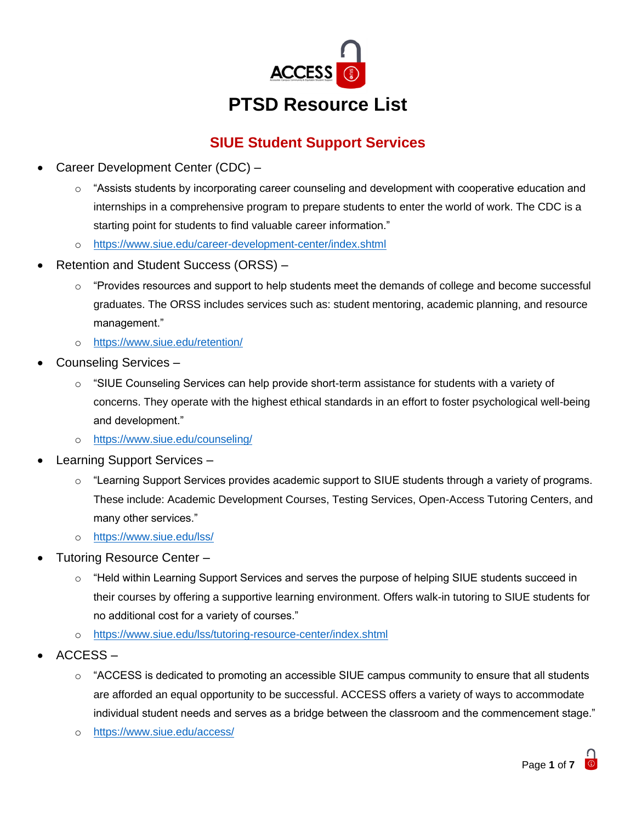

# **SIUE Student Support Services**

- Career Development Center (CDC)
	- o "Assists students by incorporating career counseling and development with cooperative education and internships in a comprehensive program to prepare students to enter the world of work. The CDC is a starting point for students to find valuable career information."
	- o <https://www.siue.edu/career-development-center/index.shtml>
- Retention and Student Success (ORSS)
	- o "Provides resources and support to help students meet the demands of college and become successful graduates. The ORSS includes services such as: student mentoring, academic planning, and resource management."
	- o <https://www.siue.edu/retention/>
- Counseling Services
	- o "SIUE Counseling Services can help provide short-term assistance for students with a variety of concerns. They operate with the highest ethical standards in an effort to foster psychological well-being and development."
	- o <https://www.siue.edu/counseling/>
- Learning Support Services
	- $\circ$  "Learning Support Services provides academic support to SIUE students through a variety of programs. These include: Academic Development Courses, Testing Services, Open-Access Tutoring Centers, and many other services."
	- o <https://www.siue.edu/lss/>
- Tutoring Resource Center
	- $\circ$  "Held within Learning Support Services and serves the purpose of helping SIUE students succeed in their courses by offering a supportive learning environment. Offers walk-in tutoring to SIUE students for no additional cost for a variety of courses."
	- o <https://www.siue.edu/lss/tutoring-resource-center/index.shtml>
- ACCESS
	- $\circ$  "ACCESS is dedicated to promoting an accessible SIUE campus community to ensure that all students are afforded an equal opportunity to be successful. ACCESS offers a variety of ways to accommodate individual student needs and serves as a bridge between the classroom and the commencement stage."
	- o <https://www.siue.edu/access/>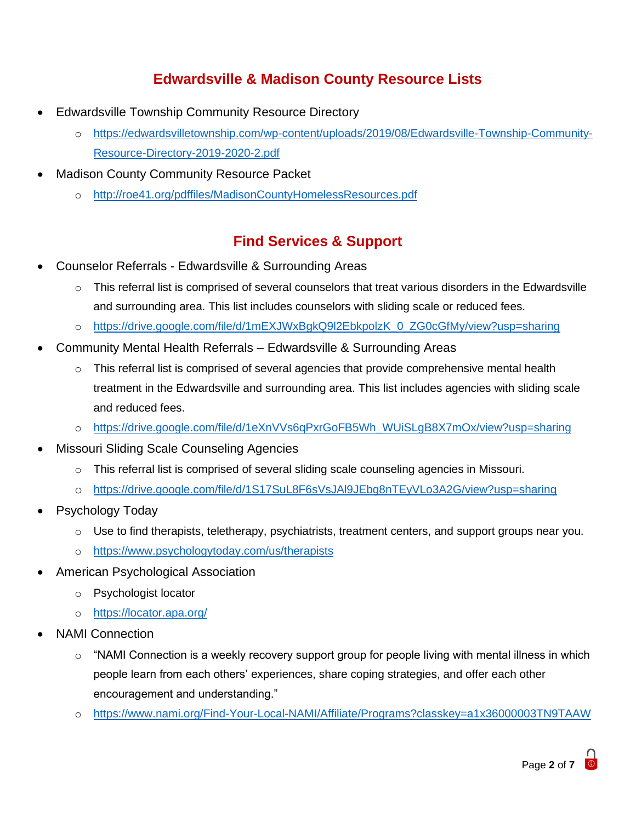## **Edwardsville & Madison County Resource Lists**

- Edwardsville Township Community Resource Directory
	- o [https://edwardsvilletownship.com/wp-content/uploads/2019/08/Edwardsville-Township-Community-](https://edwardsvilletownship.com/wp-content/uploads/2019/08/Edwardsville-Township-Community-Resource-Directory-2019-2020-2.pdf)[Resource-Directory-2019-2020-2.pdf](https://edwardsvilletownship.com/wp-content/uploads/2019/08/Edwardsville-Township-Community-Resource-Directory-2019-2020-2.pdf)
- Madison County Community Resource Packet
	- o <http://roe41.org/pdffiles/MadisonCountyHomelessResources.pdf>

### **Find Services & Support**

- Counselor Referrals Edwardsville & Surrounding Areas
	- $\circ$  This referral list is comprised of several counselors that treat various disorders in the Edwardsville and surrounding area. This list includes counselors with sliding scale or reduced fees.
	- o [https://drive.google.com/file/d/1mEXJWxBgkQ9l2EbkpolzK\\_0\\_ZG0cGfMy/view?usp=sharing](https://drive.google.com/file/d/1mEXJWxBgkQ9l2EbkpolzK_0_ZG0cGfMy/view?usp=sharing)
- Community Mental Health Referrals Edwardsville & Surrounding Areas
	- $\circ$  This referral list is comprised of several agencies that provide comprehensive mental health treatment in the Edwardsville and surrounding area. This list includes agencies with sliding scale and reduced fees.
	- o [https://drive.google.com/file/d/1eXnVVs6qPxrGoFB5Wh\\_WUiSLgB8X7mOx/view?usp=sharing](https://drive.google.com/file/d/1eXnVVs6qPxrGoFB5Wh_WUiSLgB8X7mOx/view?usp=sharing)
- Missouri Sliding Scale Counseling Agencies
	- $\circ$  This referral list is comprised of several sliding scale counseling agencies in Missouri.
	- o <https://drive.google.com/file/d/1S17SuL8F6sVsJAl9JEbg8nTEyVLo3A2G/view?usp=sharing>
- Psychology Today
	- $\circ$  Use to find therapists, teletherapy, psychiatrists, treatment centers, and support groups near you.
	- o <https://www.psychologytoday.com/us/therapists>
- American Psychological Association
	- o Psychologist locator
	- o <https://locator.apa.org/>
- NAMI Connection
	- $\circ$  "NAMI Connection is a weekly recovery support group for people living with mental illness in which people learn from each others' experiences, share coping strategies, and offer each other encouragement and understanding."
	- o <https://www.nami.org/Find-Your-Local-NAMI/Affiliate/Programs?classkey=a1x36000003TN9TAAW>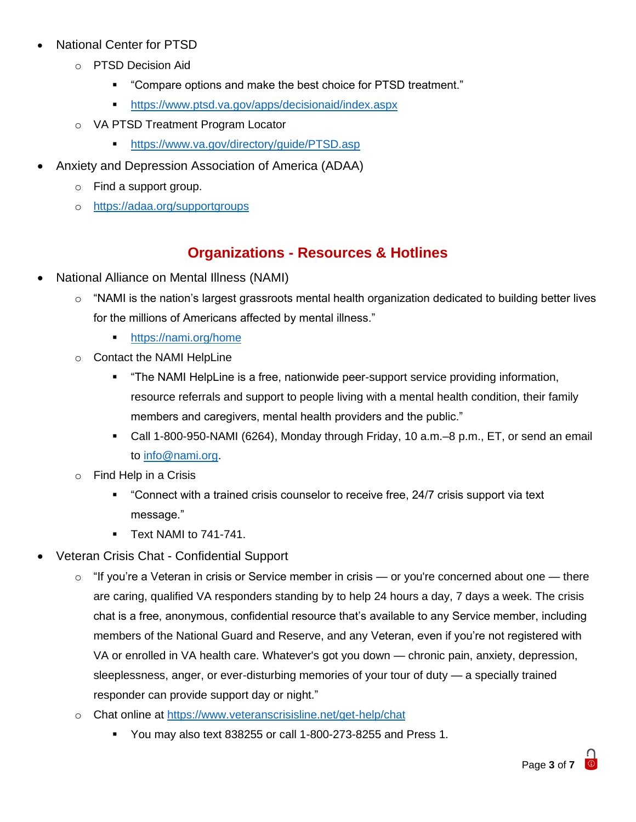- National Center for PTSD
	- o PTSD Decision Aid
		- "Compare options and make the best choice for PTSD treatment."
		- <https://www.ptsd.va.gov/apps/decisionaid/index.aspx>
	- o VA PTSD Treatment Program Locator
		- <https://www.va.gov/directory/guide/PTSD.asp>
- Anxiety and Depression Association of America (ADAA)
	- o Find a support group.
	- o <https://adaa.org/supportgroups>

### **Organizations - Resources & Hotlines**

- National Alliance on Mental Illness (NAMI)
	- $\circ$  "NAMI is the nation's largest grassroots mental health organization dedicated to building better lives for the millions of Americans affected by mental illness."
		- <https://nami.org/home>
	- o Contact the NAMI HelpLine
		- "The NAMI HelpLine is a free, nationwide peer-support service providing information, resource referrals and support to people living with a mental health condition, their family members and caregivers, mental health providers and the public."
		- Call 1-800-950-NAMI (6264), Monday through Friday, 10 a.m.–8 p.m., ET, or send an email to [info@nami.org.](mailto:info@nami.org)
	- o Find Help in a Crisis
		- "Connect with a trained crisis counselor to receive free, 24/7 crisis support via text message."
		- **Text NAMI to 741-741.**
- Veteran Crisis Chat Confidential Support
	- $\circ$  "If you're a Veteran in crisis or Service member in crisis or you're concerned about one there are caring, qualified VA responders standing by to help 24 hours a day, 7 days a week. The crisis chat is a free, anonymous, confidential resource that's available to any Service member, including members of the National Guard and Reserve, and any Veteran, even if you're not registered with VA or enrolled in VA health care. Whatever's got you down — chronic pain, anxiety, depression, sleeplessness, anger, or ever-disturbing memories of your tour of duty — a specially trained responder can provide support day or night."
	- o Chat online at<https://www.veteranscrisisline.net/get-help/chat>
		- You may also text 838255 or call 1-800-273-8255 and Press 1.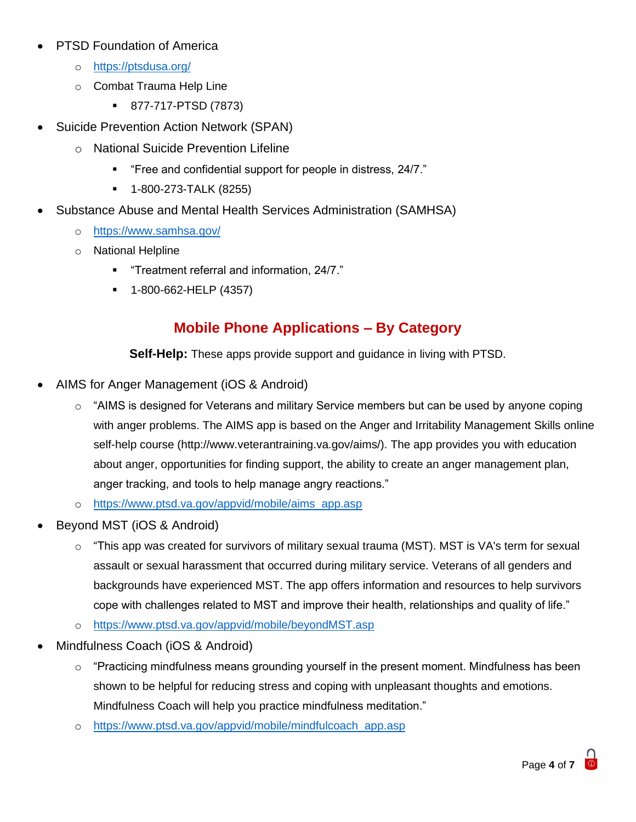- PTSD Foundation of America
	- o <https://ptsdusa.org/>
	- o Combat Trauma Help Line
		- 877-717-PTSD (7873)
- Suicide Prevention Action Network (SPAN)
	- o National Suicide Prevention Lifeline
		- "Free and confidential support for people in distress, 24/7."
		- 1-800-273-TALK (8255)
- Substance Abuse and Mental Health Services Administration (SAMHSA)
	- o <https://www.samhsa.gov/>
	- o National Helpline
		- "Treatment referral and information, 24/7."
		- 1-800-662-HELP (4357)

### **Mobile Phone Applications – By Category**

**Self-Help:** These apps provide support and guidance in living with PTSD.

- AIMS for Anger Management (iOS & Android)
	- o "AIMS is designed for Veterans and military Service members but can be used by anyone coping with anger problems. The AIMS app is based on the Anger and Irritability Management Skills online self-help course (http://www.veterantraining.va.gov/aims/). The app provides you with education about anger, opportunities for finding support, the ability to create an anger management plan, anger tracking, and tools to help manage angry reactions."
	- o [https://www.ptsd.va.gov/appvid/mobile/aims\\_app.asp](https://www.ptsd.va.gov/appvid/mobile/aims_app.asp)
- Beyond MST (iOS & Android)
	- o "This app was created for survivors of military sexual trauma (MST). MST is VA's term for sexual assault or sexual harassment that occurred during military service. Veterans of all genders and backgrounds have experienced MST. The app offers information and resources to help survivors cope with challenges related to MST and improve their health, relationships and quality of life."
	- o <https://www.ptsd.va.gov/appvid/mobile/beyondMST.asp>
- Mindfulness Coach (iOS & Android)
	- $\circ$  "Practicing mindfulness means grounding yourself in the present moment. Mindfulness has been shown to be helpful for reducing stress and coping with unpleasant thoughts and emotions. Mindfulness Coach will help you practice mindfulness meditation."
	- o [https://www.ptsd.va.gov/appvid/mobile/mindfulcoach\\_app.asp](https://www.ptsd.va.gov/appvid/mobile/mindfulcoach_app.asp)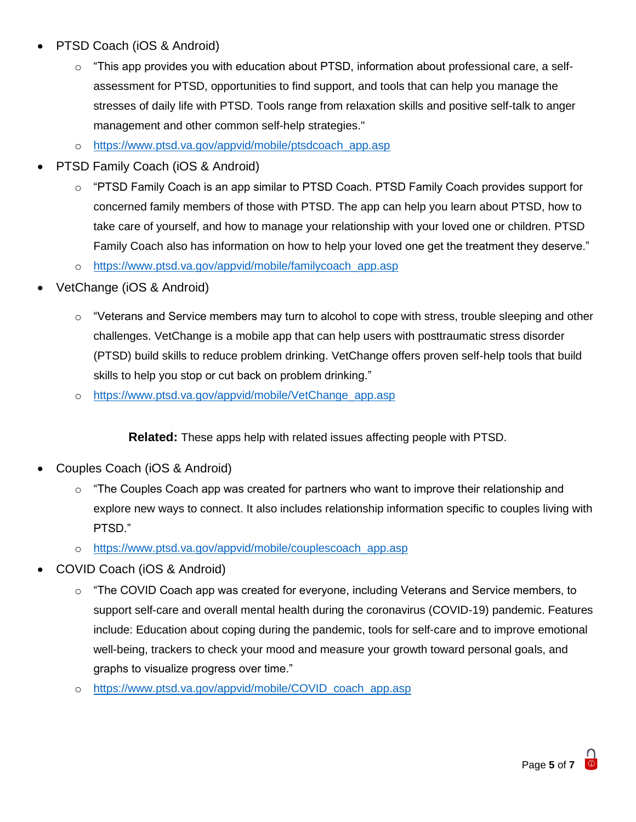- PTSD Coach (iOS & Android)
	- o "This app provides you with education about PTSD, information about professional care, a selfassessment for PTSD, opportunities to find support, and tools that can help you manage the stresses of daily life with PTSD. Tools range from relaxation skills and positive self-talk to anger management and other common self-help strategies."
	- o [https://www.ptsd.va.gov/appvid/mobile/ptsdcoach\\_app.asp](https://www.ptsd.va.gov/appvid/mobile/ptsdcoach_app.asp)
- PTSD Family Coach (iOS & Android)
	- $\circ$  "PTSD Family Coach is an app similar to PTSD Coach. PTSD Family Coach provides support for concerned family members of those with PTSD. The app can help you learn about PTSD, how to take care of yourself, and how to manage your relationship with your loved one or children. PTSD Family Coach also has information on how to help your loved one get the treatment they deserve."
	- o [https://www.ptsd.va.gov/appvid/mobile/familycoach\\_app.asp](https://www.ptsd.va.gov/appvid/mobile/familycoach_app.asp)
- VetChange (iOS & Android)
	- $\circ$  "Veterans and Service members may turn to alcohol to cope with stress, trouble sleeping and other challenges. VetChange is a mobile app that can help users with posttraumatic stress disorder (PTSD) build skills to reduce problem drinking. VetChange offers proven self-help tools that build skills to help you stop or cut back on problem drinking."
	- o [https://www.ptsd.va.gov/appvid/mobile/VetChange\\_app.asp](https://www.ptsd.va.gov/appvid/mobile/VetChange_app.asp)

**Related:** These apps help with related issues affecting people with PTSD.

- Couples Coach (iOS & Android)
	- $\circ$  "The Couples Coach app was created for partners who want to improve their relationship and explore new ways to connect. It also includes relationship information specific to couples living with PTSD."
	- o [https://www.ptsd.va.gov/appvid/mobile/couplescoach\\_app.asp](https://www.ptsd.va.gov/appvid/mobile/couplescoach_app.asp)
- COVID Coach (iOS & Android)
	- o "The COVID Coach app was created for everyone, including Veterans and Service members, to support self-care and overall mental health during the coronavirus (COVID-19) pandemic. Features include: Education about coping during the pandemic, tools for self-care and to improve emotional well-being, trackers to check your mood and measure your growth toward personal goals, and graphs to visualize progress over time."
	- o [https://www.ptsd.va.gov/appvid/mobile/COVID\\_coach\\_app.asp](https://www.ptsd.va.gov/appvid/mobile/COVID_coach_app.asp)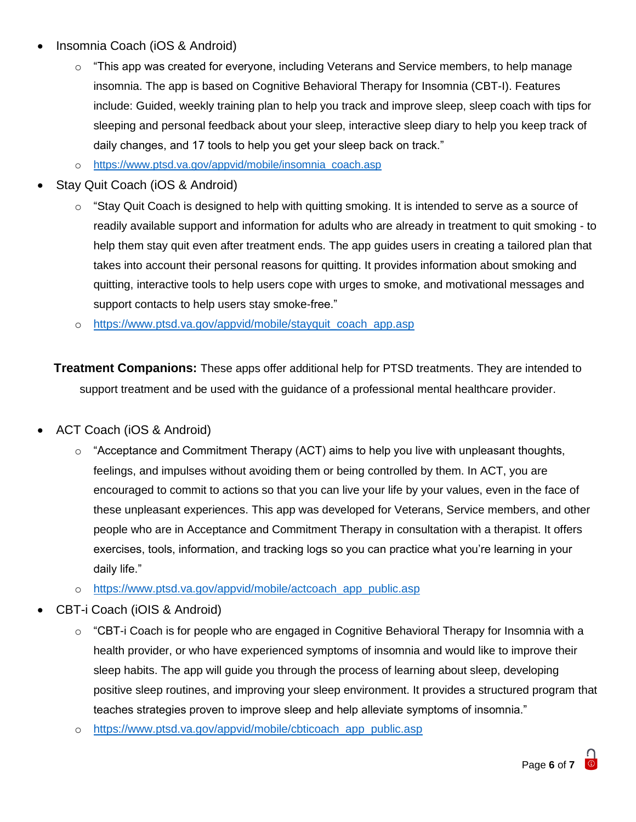- Insomnia Coach (iOS & Android)
	- o "This app was created for everyone, including Veterans and Service members, to help manage insomnia. The app is based on Cognitive Behavioral Therapy for Insomnia (CBT-I). Features include: Guided, weekly training plan to help you track and improve sleep, sleep coach with tips for sleeping and personal feedback about your sleep, interactive sleep diary to help you keep track of daily changes, and 17 tools to help you get your sleep back on track."
	- o [https://www.ptsd.va.gov/appvid/mobile/insomnia\\_coach.asp](https://www.ptsd.va.gov/appvid/mobile/insomnia_coach.asp)
- Stay Quit Coach (iOS & Android)
	- $\circ$  "Stay Quit Coach is designed to help with quitting smoking. It is intended to serve as a source of readily available support and information for adults who are already in treatment to quit smoking - to help them stay quit even after treatment ends. The app guides users in creating a tailored plan that takes into account their personal reasons for quitting. It provides information about smoking and quitting, interactive tools to help users cope with urges to smoke, and motivational messages and support contacts to help users stay smoke-free."
	- o [https://www.ptsd.va.gov/appvid/mobile/stayquit\\_coach\\_app.asp](https://www.ptsd.va.gov/appvid/mobile/stayquit_coach_app.asp)

**Treatment Companions:** These apps offer additional help for PTSD treatments. They are intended to support treatment and be used with the guidance of a professional mental healthcare provider.

- ACT Coach (iOS & Android)
	- $\circ$  "Acceptance and Commitment Therapy (ACT) aims to help you live with unpleasant thoughts, feelings, and impulses without avoiding them or being controlled by them. In ACT, you are encouraged to commit to actions so that you can live your life by your values, even in the face of these unpleasant experiences. This app was developed for Veterans, Service members, and other people who are in Acceptance and Commitment Therapy in consultation with a therapist. It offers exercises, tools, information, and tracking logs so you can practice what you're learning in your daily life."
	- o [https://www.ptsd.va.gov/appvid/mobile/actcoach\\_app\\_public.asp](https://www.ptsd.va.gov/appvid/mobile/actcoach_app_public.asp)
- CBT-i Coach (iOIS & Android)
	- $\circ$  "CBT-i Coach is for people who are engaged in Cognitive Behavioral Therapy for Insomnia with a health provider, or who have experienced symptoms of insomnia and would like to improve their sleep habits. The app will guide you through the process of learning about sleep, developing positive sleep routines, and improving your sleep environment. It provides a structured program that teaches strategies proven to improve sleep and help alleviate symptoms of insomnia."
	- o [https://www.ptsd.va.gov/appvid/mobile/cbticoach\\_app\\_public.asp](https://www.ptsd.va.gov/appvid/mobile/cbticoach_app_public.asp)